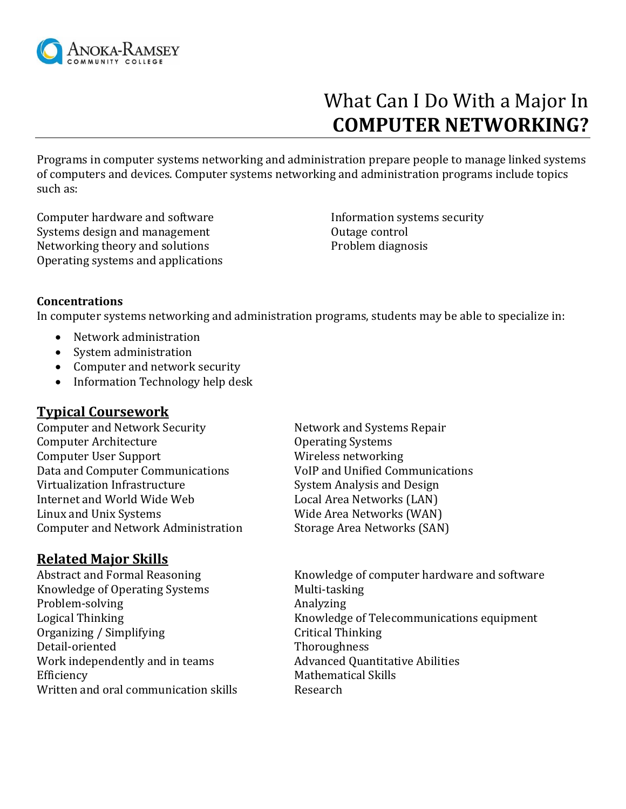

# What Can I Do With a Major In  **COMPUTER NETWORKING?**

Programs in computer systems networking and administration prepare people to manage linked systems of computers and devices. Computer systems networking and administration programs include topics such as:

Computer hardware and software Systems design and management Networking theory and solutions Operating systems and applications Information systems security Outage control Problem diagnosis

#### **Concentrations**

In computer systems networking and administration programs, students may be able to specialize in:

- Network administration
- System administration
- Computer and network security
- Information Technology help desk

#### **Typical Coursework**

Computer and Network Security Network and Systems Repair Computer Architecture **Computer Architecture Computer Architecture Constant** Operating Systems Computer User Support Wireless networking Data and Computer Communications VoIP and Unified Communications Virtualization Infrastructure System Analysis and Design Internet and World Wide Web Local Area Networks (LAN) Linux and Unix Systems Wide Area Networks (WAN) Computer and Network Administration Storage Area Networks (SAN)

## **Related Major Skills**

Knowledge of Operating Systems Multi-tasking Problem-solving Analyzing Organizing / Simplifying Critical Thinking Detail-oriented Thoroughness Work independently and in teams Advanced Quantitative Abilities Efficiency **Mathematical Skills** Written and oral communication skills Research

Abstract and Formal Reasoning Knowledge of computer hardware and software Logical Thinking **Knowledge of Telecommunications equipment**